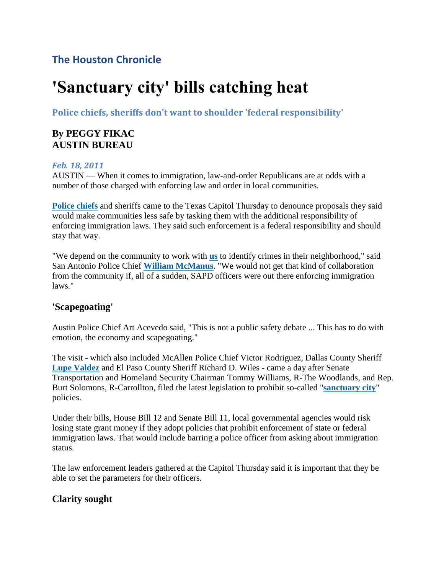# **The Houston Chronicle**

# **'Sanctuary city' bills catching heat**

**Police chiefs, sheriffs don't want to shoulder 'federal responsibility'**

# **By PEGGY FIKAC AUSTIN BUREAU**

#### *Feb. 18, 2011*

AUSTIN — When it comes to immigration, law-and-order Republicans are at odds with a number of those charged with enforcing law and order in local communities.

**[Police chiefs](http://topics.chron.com/topics/Chief_of_police)** and sheriffs came to the Texas Capitol Thursday to denounce proposals they said would make communities less safe by tasking them with the additional responsibility of enforcing immigration laws. They said such enforcement is a federal responsibility and should stay that way.

"We depend on the community to work with **[us](http://topics.chron.com/topics/United_States)** to identify crimes in their neighborhood," said San Antonio Police Chief **[William McManus](http://topics.chron.com/topics/William_McManus)**. "We would not get that kind of collaboration from the community if, all of a sudden, SAPD officers were out there enforcing immigration laws."

#### **'Scapegoating'**

Austin Police Chief Art Acevedo said, "This is not a public safety debate ... This has to do with emotion, the economy and scapegoating."

The visit - which also included McAllen Police Chief Victor Rodriguez, Dallas County Sheriff **[Lupe Valdez](http://topics.chron.com/topics/Lupe_Valdez)** and El Paso County Sheriff Richard D. Wiles - came a day after Senate Transportation and Homeland Security Chairman Tommy Williams, R-The Woodlands, and Rep. Burt Solomons, R-Carrollton, filed the latest legislation to prohibit so-called "**[sanctuary city](http://topics.chron.com/topics/Sanctuary_city)**" policies.

Under their bills, House Bill 12 and Senate Bill 11, local governmental agencies would risk losing state grant money if they adopt policies that prohibit enforcement of state or federal immigration laws. That would include barring a police officer from asking about immigration status.

The law enforcement leaders gathered at the Capitol Thursday said it is important that they be able to set the parameters for their officers.

# **Clarity sought**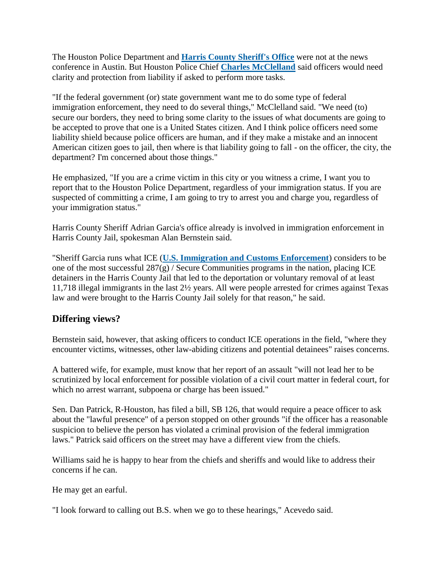The Houston Police Department and **[Harris County Sheriff's Office](http://topics.chron.com/topics/Harris_County_Sheriff)** were not at the news conference in Austin. But Houston Police Chief **[Charles McClelland](http://topics.chron.com/topics/Charles_McClelland)** said officers would need clarity and protection from liability if asked to perform more tasks.

"If the federal government (or) state government want me to do some type of federal immigration enforcement, they need to do several things," McClelland said. "We need (to) secure our borders, they need to bring some clarity to the issues of what documents are going to be accepted to prove that one is a United States citizen. And I think police officers need some liability shield because police officers are human, and if they make a mistake and an innocent American citizen goes to jail, then where is that liability going to fall - on the officer, the city, the department? I'm concerned about those things."

He emphasized, "If you are a crime victim in this city or you witness a crime, I want you to report that to the Houston Police Department, regardless of your immigration status. If you are suspected of committing a crime, I am going to try to arrest you and charge you, regardless of your immigration status."

Harris County Sheriff Adrian Garcia's office already is involved in immigration enforcement in Harris County Jail, spokesman Alan Bernstein said.

"Sheriff Garcia runs what ICE (**[U.S. Immigration and Customs Enforcement](http://topics.chron.com/topics/U.S._Immigration_and_Customs_Enforcement)**) considers to be one of the most successful  $287(g)$  / Secure Communities programs in the nation, placing ICE detainers in the Harris County Jail that led to the deportation or voluntary removal of at least 11,718 illegal immigrants in the last 2½ years. All were people arrested for crimes against Texas law and were brought to the Harris County Jail solely for that reason," he said.

# **Differing views?**

Bernstein said, however, that asking officers to conduct ICE operations in the field, "where they encounter victims, witnesses, other law-abiding citizens and potential detainees" raises concerns.

A battered wife, for example, must know that her report of an assault "will not lead her to be scrutinized by local enforcement for possible violation of a civil court matter in federal court, for which no arrest warrant, subpoena or charge has been issued."

Sen. Dan Patrick, R-Houston, has filed a bill, SB 126, that would require a peace officer to ask about the "lawful presence" of a person stopped on other grounds "if the officer has a reasonable suspicion to believe the person has violated a criminal provision of the federal immigration laws." Patrick said officers on the street may have a different view from the chiefs.

Williams said he is happy to hear from the chiefs and sheriffs and would like to address their concerns if he can.

He may get an earful.

"I look forward to calling out B.S. when we go to these hearings," Acevedo said.